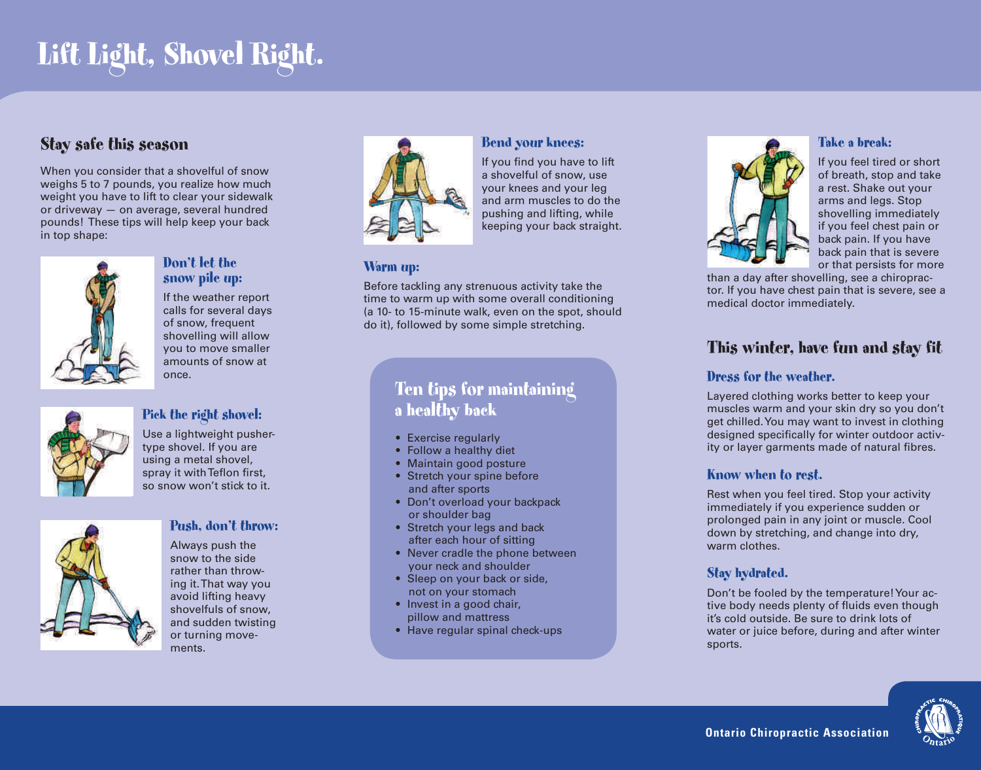# **Lift Light, Shovel Right.**

### **Stay safe this season**

When you consider that a shovelful of snow weighs 5 to 7 pounds, you realize how much weight you have to lift to clear your sidewalk or driveway — on average, several hundred pounds! These tips will help keep your back in top shape:



#### **Don't let the snow pile up:**

If the weather report calls for several days of snow, frequent shovelling will allow you to move smaller amounts of snow at once.



#### **Pick the right shovel:**

Use a lightweight pushertype shovel. If you are using a metal shovel, spray it with Teflon first, so snow won't stick to it.



#### **Push, don't throw:**

Always push the snow to the side rather than throwing it. That way you avoid lifting heavy shovelfuls of snow, and sudden twisting or turning movements.



#### **Bend your knees:**

If you find you have to lift a shovelful of snow, use your knees and your leg and arm muscles to do the pushing and lifting, while keeping your back straight.

#### **Warm up:**

Before tackling any strenuous activity take the time to warm up with some overall conditioning (a 10- to 15-minute walk, even on the spot, should do it), followed by some simple stretching.

# **Ten tips for maintaining a healthy back**

- Exercise regularly
- Follow a healthy diet
- Maintain good posture
- Stretch your spine before and after sports
- Don't overload your backpack or shoulder bag
- Stretch your legs and back after each hour of sitting
- Never cradle the phone between your neck and shoulder
- Sleep on your back or side. not on your stomach
- Invest in a good chair, pillow and mattress
- Have regular spinal check-ups



#### **Take a break:**

If you feel tired or short of breath, stop and take a rest. Shake out your arms and legs. Stop shovelling immediately if you feel chest pain or back pain. If you have back pain that is severe or that persists for more

than a day after shovelling, see a chiropractor. If you have chest pain that is severe, see a medical doctor immediately.

# **This winter, have fun and stay fit**

#### **Dress for the weather.**

Layered clothing works better to keep your muscles warm and your skin dry so you don't get chilled. You may want to invest in clothing designed specifically for winter outdoor activity or layer garments made of natural fibres.

#### **Know when to rest.**

Rest when you feel tired. Stop your activity immediately if you experience sudden or prolonged pain in any joint or muscle. Cool down by stretching, and change into dry, warm clothes.

#### **Stay hydrated.**

Don't be fooled by the temperature! Your active body needs plenty of fluids even though it's cold outside. Be sure to drink lots of water or juice before, during and after winter sports.